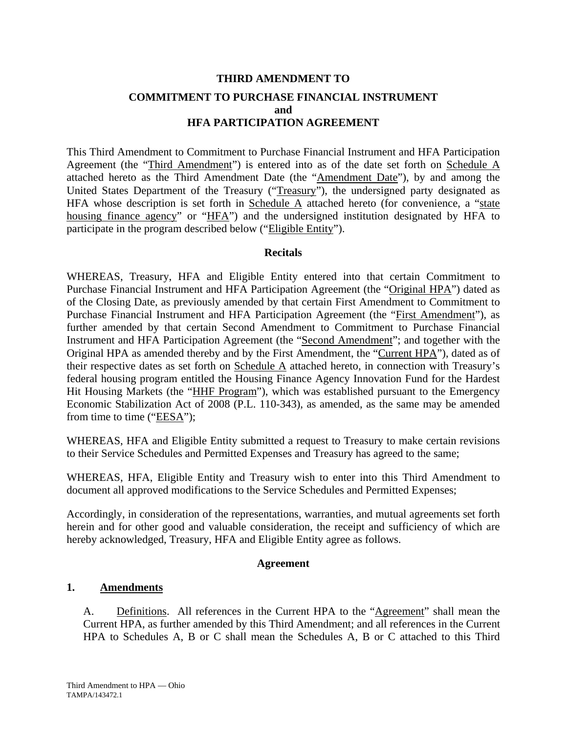# **THIRD AMENDMENT TO COMMITMENT TO PURCHASE FINANCIAL INSTRUMENT and HFA PARTICIPATION AGREEMENT**

This Third Amendment to Commitment to Purchase Financial Instrument and HFA Participation Agreement (the "Third Amendment") is entered into as of the date set forth on Schedule A attached hereto as the Third Amendment Date (the "Amendment Date"), by and among the United States Department of the Treasury ("Treasury"), the undersigned party designated as HFA whose description is set forth in Schedule  $\overline{A}$  attached hereto (for convenience, a "state housing finance agency" or "HFA") and the undersigned institution designated by HFA to participate in the program described below ("Eligible Entity").

#### **Recitals**

WHEREAS, Treasury, HFA and Eligible Entity entered into that certain Commitment to Purchase Financial Instrument and HFA Participation Agreement (the "Original HPA") dated as of the Closing Date, as previously amended by that certain First Amendment to Commitment to Purchase Financial Instrument and HFA Participation Agreement (the "First Amendment"), as further amended by that certain Second Amendment to Commitment to Purchase Financial Instrument and HFA Participation Agreement (the "Second Amendment"; and together with the Original HPA as amended thereby and by the First Amendment, the "Current HPA"), dated as of their respective dates as set forth on Schedule A attached hereto, in connection with Treasury's federal housing program entitled the Housing Finance Agency Innovation Fund for the Hardest Hit Housing Markets (the "HHF Program"), which was established pursuant to the Emergency Economic Stabilization Act of 2008 (P.L. 110-343), as amended, as the same may be amended from time to time (" $EESA$ ");

WHEREAS, HFA and Eligible Entity submitted a request to Treasury to make certain revisions to their Service Schedules and Permitted Expenses and Treasury has agreed to the same;

WHEREAS, HFA, Eligible Entity and Treasury wish to enter into this Third Amendment to document all approved modifications to the Service Schedules and Permitted Expenses;

Accordingly, in consideration of the representations, warranties, and mutual agreements set forth herein and for other good and valuable consideration, the receipt and sufficiency of which are hereby acknowledged, Treasury, HFA and Eligible Entity agree as follows.

#### **Agreement**

## **1. Amendments**

A. Definitions. All references in the Current HPA to the "Agreement" shall mean the Current HPA, as further amended by this Third Amendment; and all references in the Current HPA to Schedules A, B or C shall mean the Schedules A, B or C attached to this Third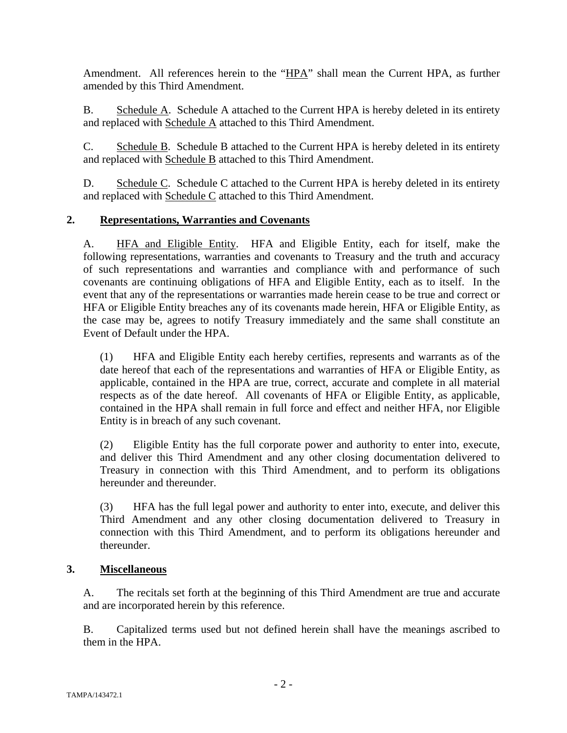Amendment. All references herein to the "HPA" shall mean the Current HPA, as further amended by this Third Amendment.

B. Schedule A. Schedule A attached to the Current HPA is hereby deleted in its entirety and replaced with Schedule A attached to this Third Amendment.

C. Schedule B. Schedule B attached to the Current HPA is hereby deleted in its entirety and replaced with Schedule B attached to this Third Amendment.

D. Schedule C. Schedule C attached to the Current HPA is hereby deleted in its entirety and replaced with Schedule C attached to this Third Amendment.

## **2. Representations, Warranties and Covenants**

A. HFA and Eligible Entity. HFA and Eligible Entity, each for itself, make the following representations, warranties and covenants to Treasury and the truth and accuracy of such representations and warranties and compliance with and performance of such covenants are continuing obligations of HFA and Eligible Entity, each as to itself. In the event that any of the representations or warranties made herein cease to be true and correct or HFA or Eligible Entity breaches any of its covenants made herein, HFA or Eligible Entity, as the case may be, agrees to notify Treasury immediately and the same shall constitute an Event of Default under the HPA.

(1) HFA and Eligible Entity each hereby certifies, represents and warrants as of the date hereof that each of the representations and warranties of HFA or Eligible Entity, as applicable, contained in the HPA are true, correct, accurate and complete in all material respects as of the date hereof. All covenants of HFA or Eligible Entity, as applicable, contained in the HPA shall remain in full force and effect and neither HFA, nor Eligible Entity is in breach of any such covenant.

(2) Eligible Entity has the full corporate power and authority to enter into, execute, and deliver this Third Amendment and any other closing documentation delivered to Treasury in connection with this Third Amendment, and to perform its obligations hereunder and thereunder.

(3) HFA has the full legal power and authority to enter into, execute, and deliver this Third Amendment and any other closing documentation delivered to Treasury in connection with this Third Amendment, and to perform its obligations hereunder and thereunder.

## **3. Miscellaneous**

A. The recitals set forth at the beginning of this Third Amendment are true and accurate and are incorporated herein by this reference.

B. Capitalized terms used but not defined herein shall have the meanings ascribed to them in the HPA.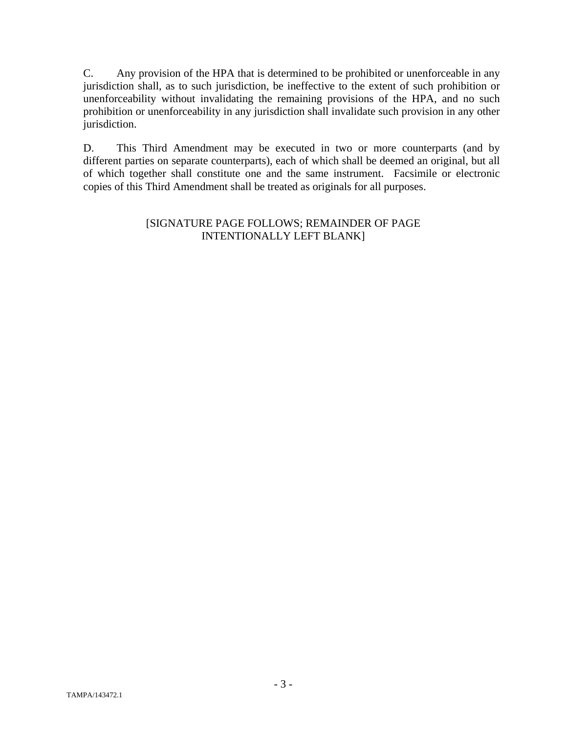C. Any provision of the HPA that is determined to be prohibited or unenforceable in any jurisdiction shall, as to such jurisdiction, be ineffective to the extent of such prohibition or unenforceability without invalidating the remaining provisions of the HPA, and no such prohibition or unenforceability in any jurisdiction shall invalidate such provision in any other jurisdiction.

D. This Third Amendment may be executed in two or more counterparts (and by different parties on separate counterparts), each of which shall be deemed an original, but all of which together shall constitute one and the same instrument. Facsimile or electronic copies of this Third Amendment shall be treated as originals for all purposes.

#### [SIGNATURE PAGE FOLLOWS; REMAINDER OF PAGE INTENTIONALLY LEFT BLANK]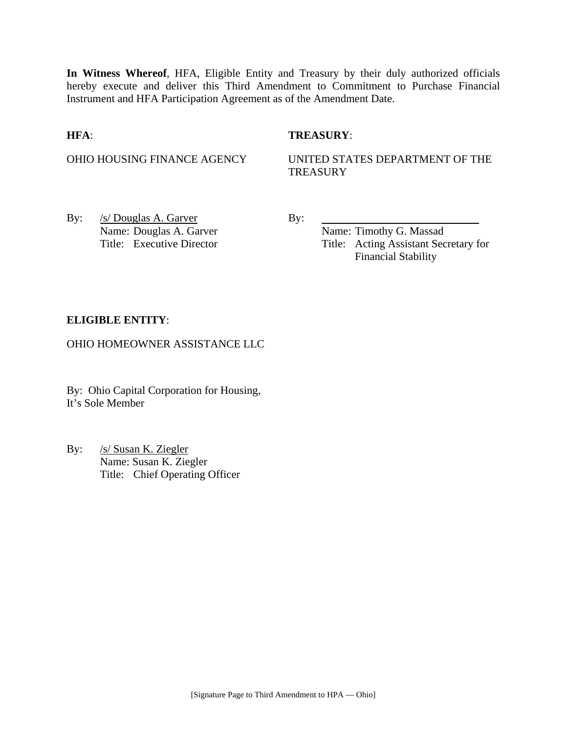**In Witness Whereof**, HFA, Eligible Entity and Treasury by their duly authorized officials hereby execute and deliver this Third Amendment to Commitment to Purchase Financial Instrument and HFA Participation Agreement as of the Amendment Date.

#### **HFA**: **TREASURY**:

OHIO HOUSING FINANCE AGENCY UNITED STATES DEPARTMENT OF THE **TREASURY** 

By: <u>/s/ Douglas A. Garver</u> By: Name: Douglas A. Garver Name: Timothy G. Massad

Title: Executive Director Title: Acting Assistant Secretary for Financial Stability

#### **ELIGIBLE ENTITY**:

OHIO HOMEOWNER ASSISTANCE LLC

By: Ohio Capital Corporation for Housing, It's Sole Member

By: /s/ Susan K. Ziegler Name: Susan K. Ziegler Title: Chief Operating Officer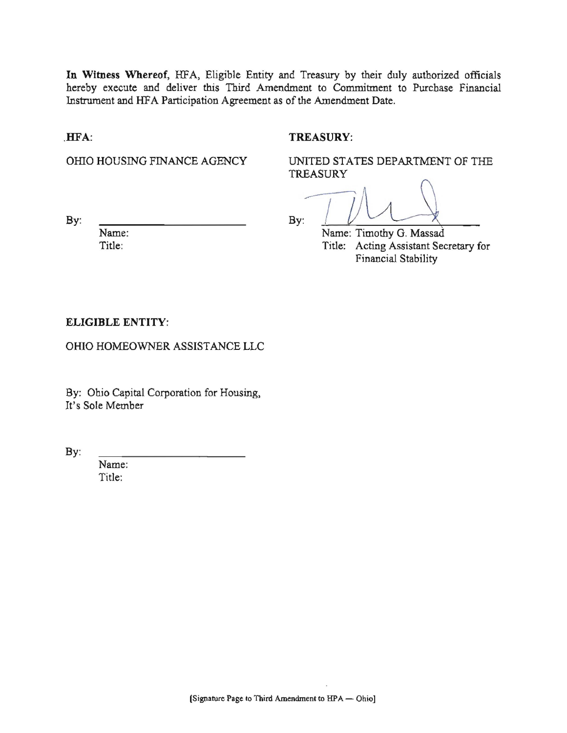In Witness Whereof, HFA, Eligible Entity and Treasury by their duly authorized officials hereby execute and deliver this Third Amendment to Commitment to Purchase Financial Instrument and HFA Participation Agreement as of the Amendment Date.

#### HFA:

#### **TREASURY:**

OHIO HOUSING FINANCE AGENCY

UNITED STATES DEPARTMENT OF THE **TREASURY** 

By:

 $By:$ 

Name: Title:

Name: Timothy G. Massad Title: Acting Assistant Secretary for Financial Stability

#### **ELIGIBLE ENTITY:**

OHIO HOMEOWNER ASSISTANCE LLC

By: Ohio Capital Corporation for Housing, It's Sole Member

 $By:$ 

Name: Title: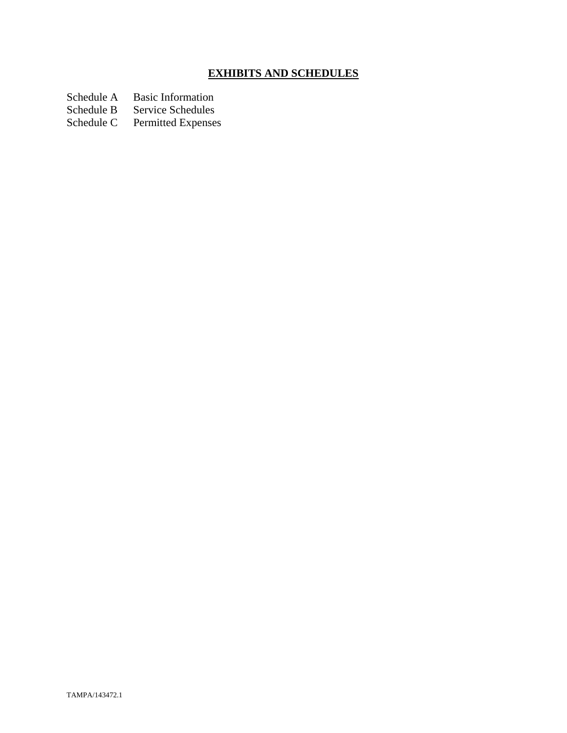# **EXHIBITS AND SCHEDULES**

Schedule A Basic Information<br>Schedule B Service Schedules

Schedule B Service Schedules<br>Schedule C Permitted Expenses

Permitted Expenses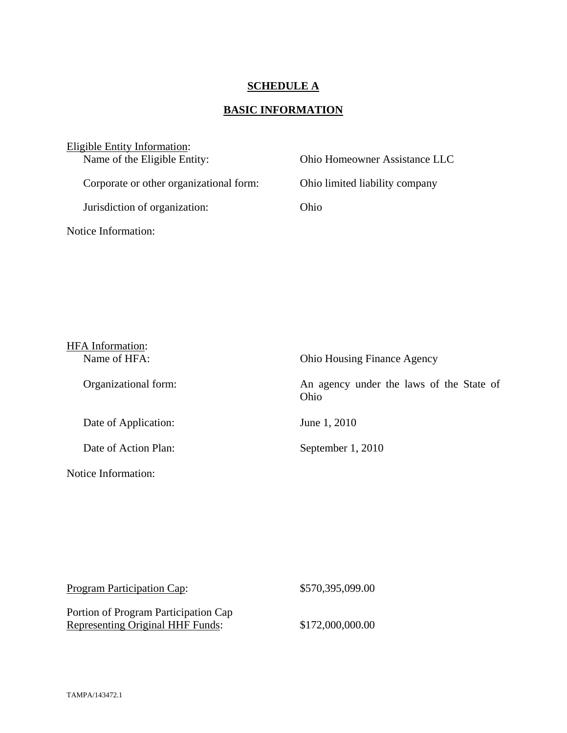## **SCHEDULE A**

# **BASIC INFORMATION**

| Eligible Entity Information:            |                                |
|-----------------------------------------|--------------------------------|
| Name of the Eligible Entity:            | Ohio Homeowner Assistance LLC  |
| Corporate or other organizational form: | Ohio limited liability company |
| Jurisdiction of organization:           | Ohio                           |
| Notice Information:                     |                                |

| <b>HFA</b> Information: |                                                  |
|-------------------------|--------------------------------------------------|
| Name of HFA:            | <b>Ohio Housing Finance Agency</b>               |
| Organizational form:    | An agency under the laws of the State of<br>Ohio |
| Date of Application:    | June 1, 2010                                     |
| Date of Action Plan:    | September 1, 2010                                |
| Notice Information:     |                                                  |

| Program Participation Cap:              | \$570,395,099.00 |
|-----------------------------------------|------------------|
| Portion of Program Participation Cap    |                  |
| <b>Representing Original HHF Funds:</b> | \$172,000,000.00 |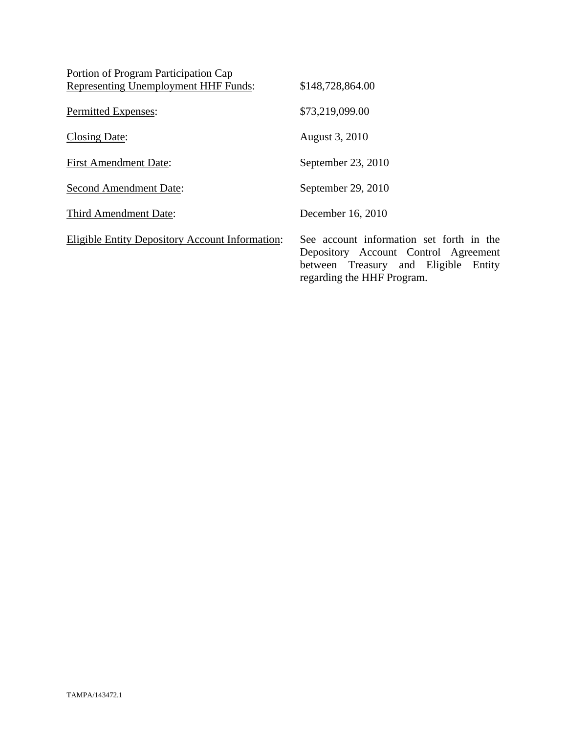| Portion of Program Participation Cap                   |                                                                                                                                                        |
|--------------------------------------------------------|--------------------------------------------------------------------------------------------------------------------------------------------------------|
| Representing Unemployment HHF Funds:                   | \$148,728,864.00                                                                                                                                       |
| Permitted Expenses:                                    | \$73,219,099.00                                                                                                                                        |
| Closing Date:                                          | August 3, 2010                                                                                                                                         |
| <b>First Amendment Date:</b>                           | September 23, 2010                                                                                                                                     |
| Second Amendment Date:                                 | September 29, 2010                                                                                                                                     |
| Third Amendment Date:                                  | December 16, 2010                                                                                                                                      |
| <b>Eligible Entity Depository Account Information:</b> | See account information set forth in the<br>Depository Account Control Agreement<br>between Treasury and Eligible Entity<br>regarding the HHF Program. |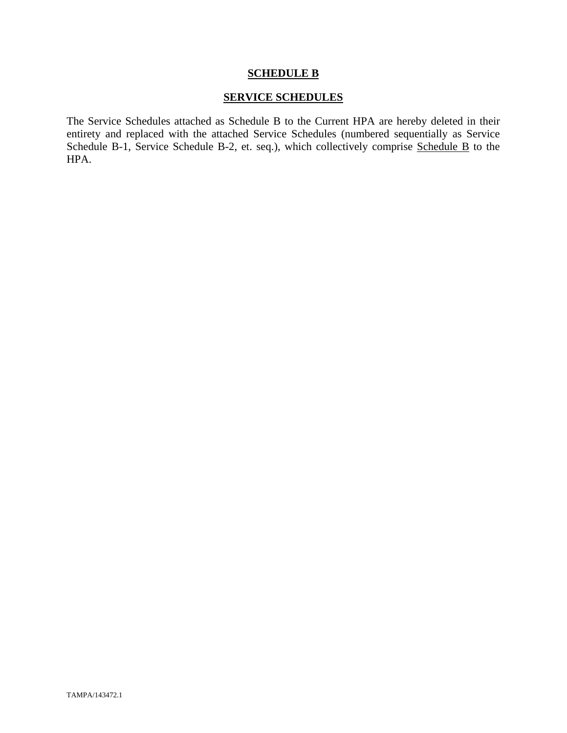#### **SCHEDULE B**

### **SERVICE SCHEDULES**

The Service Schedules attached as Schedule B to the Current HPA are hereby deleted in their entirety and replaced with the attached Service Schedules (numbered sequentially as Service Schedule B-1, Service Schedule B-2, et. seq.), which collectively comprise Schedule B to the HPA.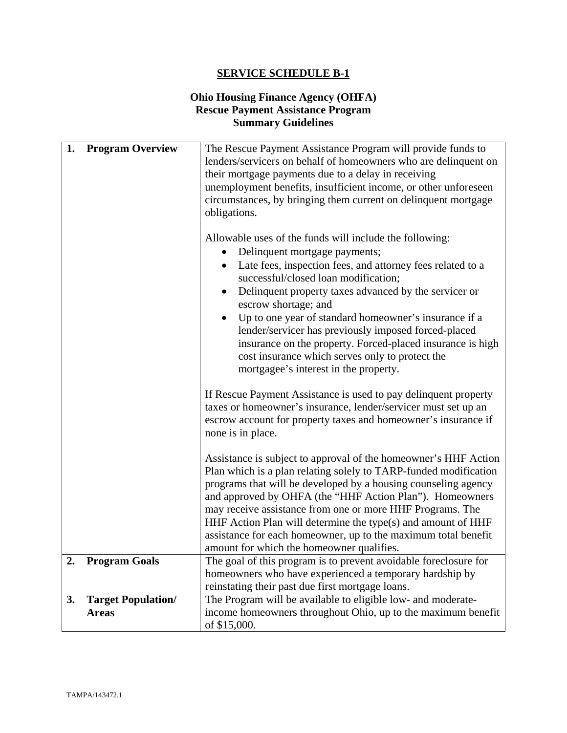### **Ohio Housing Finance Agency (OHFA) Rescue Payment Assistance Program Summary Guidelines**

| 1. | <b>Program Overview</b>                   | The Rescue Payment Assistance Program will provide funds to<br>lenders/servicers on behalf of homeowners who are delinquent on<br>their mortgage payments due to a delay in receiving<br>unemployment benefits, insufficient income, or other unforeseen<br>circumstances, by bringing them current on delinquent mortgage<br>obligations.<br>Allowable uses of the funds will include the following:<br>Delinquent mortgage payments;<br>Late fees, inspection fees, and attorney fees related to a<br>$\bullet$<br>successful/closed loan modification;<br>Delinquent property taxes advanced by the servicer or<br>escrow shortage; and<br>Up to one year of standard homeowner's insurance if a<br>lender/servicer has previously imposed forced-placed<br>insurance on the property. Forced-placed insurance is high<br>cost insurance which serves only to protect the<br>mortgagee's interest in the property.<br>If Rescue Payment Assistance is used to pay delinquent property<br>taxes or homeowner's insurance, lender/servicer must set up an<br>escrow account for property taxes and homeowner's insurance if<br>none is in place.<br>Assistance is subject to approval of the homeowner's HHF Action |
|----|-------------------------------------------|----------------------------------------------------------------------------------------------------------------------------------------------------------------------------------------------------------------------------------------------------------------------------------------------------------------------------------------------------------------------------------------------------------------------------------------------------------------------------------------------------------------------------------------------------------------------------------------------------------------------------------------------------------------------------------------------------------------------------------------------------------------------------------------------------------------------------------------------------------------------------------------------------------------------------------------------------------------------------------------------------------------------------------------------------------------------------------------------------------------------------------------------------------------------------------------------------------------------|
|    |                                           | Plan which is a plan relating solely to TARP-funded modification<br>programs that will be developed by a housing counseling agency<br>and approved by OHFA (the "HHF Action Plan"). Homeowners<br>may receive assistance from one or more HHF Programs. The<br>HHF Action Plan will determine the type(s) and amount of HHF<br>assistance for each homeowner, up to the maximum total benefit<br>amount for which the homeowner qualifies.                                                                                                                                                                                                                                                                                                                                                                                                                                                                                                                                                                                                                                                                                                                                                                           |
| 2. | <b>Program Goals</b>                      | The goal of this program is to prevent avoidable foreclosure for<br>homeowners who have experienced a temporary hardship by<br>reinstating their past due first mortgage loans.                                                                                                                                                                                                                                                                                                                                                                                                                                                                                                                                                                                                                                                                                                                                                                                                                                                                                                                                                                                                                                      |
| 3. | <b>Target Population/</b><br><b>Areas</b> | The Program will be available to eligible low- and moderate-<br>income homeowners throughout Ohio, up to the maximum benefit<br>of \$15,000.                                                                                                                                                                                                                                                                                                                                                                                                                                                                                                                                                                                                                                                                                                                                                                                                                                                                                                                                                                                                                                                                         |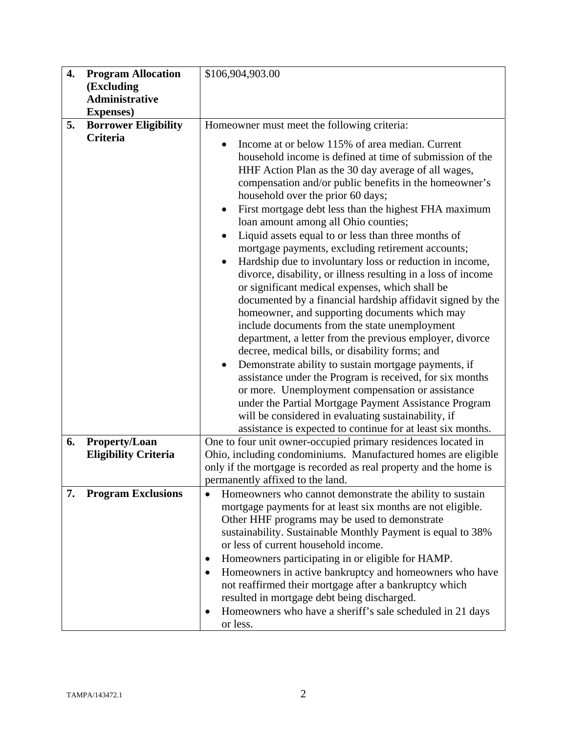| 4. | <b>Program Allocation</b><br>(Excluding<br>Administrative<br><b>Expenses</b> ) | \$106,904,903.00                                                                                                                                                                                                                                                                                                                                                                                                                                                                                                                                                                                                                                                                                                                                                                                                                                                                                                                                                                                                                                                                                                                                                                                                                                                                                                                                         |
|----|--------------------------------------------------------------------------------|----------------------------------------------------------------------------------------------------------------------------------------------------------------------------------------------------------------------------------------------------------------------------------------------------------------------------------------------------------------------------------------------------------------------------------------------------------------------------------------------------------------------------------------------------------------------------------------------------------------------------------------------------------------------------------------------------------------------------------------------------------------------------------------------------------------------------------------------------------------------------------------------------------------------------------------------------------------------------------------------------------------------------------------------------------------------------------------------------------------------------------------------------------------------------------------------------------------------------------------------------------------------------------------------------------------------------------------------------------|
| 5. | <b>Borrower Eligibility</b>                                                    | Homeowner must meet the following criteria:                                                                                                                                                                                                                                                                                                                                                                                                                                                                                                                                                                                                                                                                                                                                                                                                                                                                                                                                                                                                                                                                                                                                                                                                                                                                                                              |
|    | Criteria                                                                       | Income at or below 115% of area median. Current<br>household income is defined at time of submission of the<br>HHF Action Plan as the 30 day average of all wages,<br>compensation and/or public benefits in the homeowner's<br>household over the prior 60 days;<br>First mortgage debt less than the highest FHA maximum<br>$\bullet$<br>loan amount among all Ohio counties;<br>Liquid assets equal to or less than three months of<br>$\bullet$<br>mortgage payments, excluding retirement accounts;<br>Hardship due to involuntary loss or reduction in income,<br>$\bullet$<br>divorce, disability, or illness resulting in a loss of income<br>or significant medical expenses, which shall be<br>documented by a financial hardship affidavit signed by the<br>homeowner, and supporting documents which may<br>include documents from the state unemployment<br>department, a letter from the previous employer, divorce<br>decree, medical bills, or disability forms; and<br>Demonstrate ability to sustain mortgage payments, if<br>$\bullet$<br>assistance under the Program is received, for six months<br>or more. Unemployment compensation or assistance<br>under the Partial Mortgage Payment Assistance Program<br>will be considered in evaluating sustainability, if<br>assistance is expected to continue for at least six months. |
| 6. | <b>Property/Loan</b>                                                           | One to four unit owner-occupied primary residences located in                                                                                                                                                                                                                                                                                                                                                                                                                                                                                                                                                                                                                                                                                                                                                                                                                                                                                                                                                                                                                                                                                                                                                                                                                                                                                            |
|    | <b>Eligibility Criteria</b>                                                    | Ohio, including condominiums. Manufactured homes are eligible<br>only if the mortgage is recorded as real property and the home is<br>permanently affixed to the land.                                                                                                                                                                                                                                                                                                                                                                                                                                                                                                                                                                                                                                                                                                                                                                                                                                                                                                                                                                                                                                                                                                                                                                                   |
| 7. | <b>Program Exclusions</b>                                                      | Homeowners who cannot demonstrate the ability to sustain<br>$\bullet$<br>mortgage payments for at least six months are not eligible.<br>Other HHF programs may be used to demonstrate<br>sustainability. Sustainable Monthly Payment is equal to 38%<br>or less of current household income.<br>Homeowners participating in or eligible for HAMP.<br>Homeowners in active bankruptcy and homeowners who have<br>not reaffirmed their mortgage after a bankruptcy which<br>resulted in mortgage debt being discharged.<br>Homeowners who have a sheriff's sale scheduled in 21 days<br>or less.                                                                                                                                                                                                                                                                                                                                                                                                                                                                                                                                                                                                                                                                                                                                                           |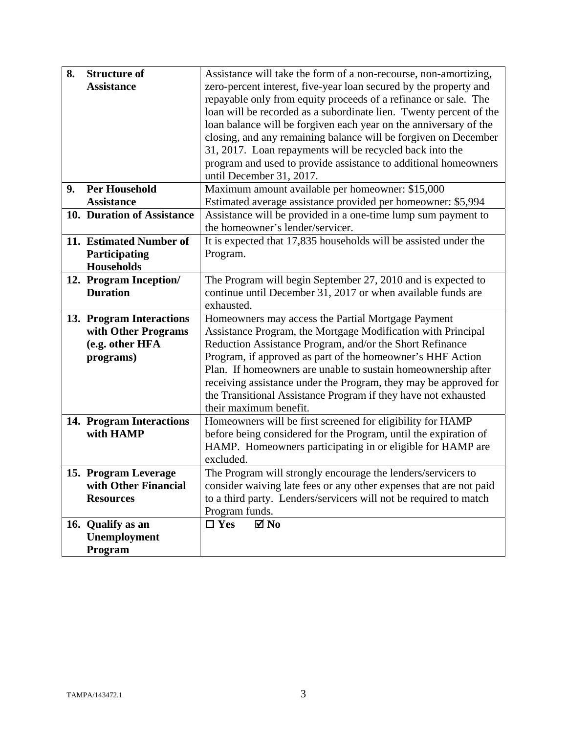| 8. | <b>Structure of</b>        | Assistance will take the form of a non-recourse, non-amortizing,   |
|----|----------------------------|--------------------------------------------------------------------|
|    | <b>Assistance</b>          | zero-percent interest, five-year loan secured by the property and  |
|    |                            | repayable only from equity proceeds of a refinance or sale. The    |
|    |                            | loan will be recorded as a subordinate lien. Twenty percent of the |
|    |                            | loan balance will be forgiven each year on the anniversary of the  |
|    |                            | closing, and any remaining balance will be forgiven on December    |
|    |                            | 31, 2017. Loan repayments will be recycled back into the           |
|    |                            | program and used to provide assistance to additional homeowners    |
|    |                            | until December 31, 2017.                                           |
| 9. | <b>Per Household</b>       | Maximum amount available per homeowner: \$15,000                   |
|    | <b>Assistance</b>          | Estimated average assistance provided per homeowner: \$5,994       |
|    | 10. Duration of Assistance | Assistance will be provided in a one-time lump sum payment to      |
|    |                            | the homeowner's lender/servicer.                                   |
|    | 11. Estimated Number of    | It is expected that 17,835 households will be assisted under the   |
|    | Participating              | Program.                                                           |
|    | <b>Households</b>          |                                                                    |
|    | 12. Program Inception/     | The Program will begin September 27, 2010 and is expected to       |
|    | <b>Duration</b>            | continue until December 31, 2017 or when available funds are       |
|    |                            | exhausted.                                                         |
|    |                            |                                                                    |
|    | 13. Program Interactions   | Homeowners may access the Partial Mortgage Payment                 |
|    | with Other Programs        | Assistance Program, the Mortgage Modification with Principal       |
|    | (e.g. other HFA            | Reduction Assistance Program, and/or the Short Refinance           |
|    | programs)                  | Program, if approved as part of the homeowner's HHF Action         |
|    |                            | Plan. If homeowners are unable to sustain homeownership after      |
|    |                            | receiving assistance under the Program, they may be approved for   |
|    |                            | the Transitional Assistance Program if they have not exhausted     |
|    |                            | their maximum benefit.                                             |
|    | 14. Program Interactions   | Homeowners will be first screened for eligibility for HAMP         |
|    | with HAMP                  | before being considered for the Program, until the expiration of   |
|    |                            | HAMP. Homeowners participating in or eligible for HAMP are         |
|    |                            | excluded.                                                          |
|    | 15. Program Leverage       | The Program will strongly encourage the lenders/servicers to       |
|    | with Other Financial       | consider waiving late fees or any other expenses that are not paid |
|    | <b>Resources</b>           | to a third party. Lenders/servicers will not be required to match  |
|    |                            | Program funds.                                                     |
|    | 16. Qualify as an          | $\Box$ Yes<br>$\blacksquare$ No                                    |
|    | Unemployment               |                                                                    |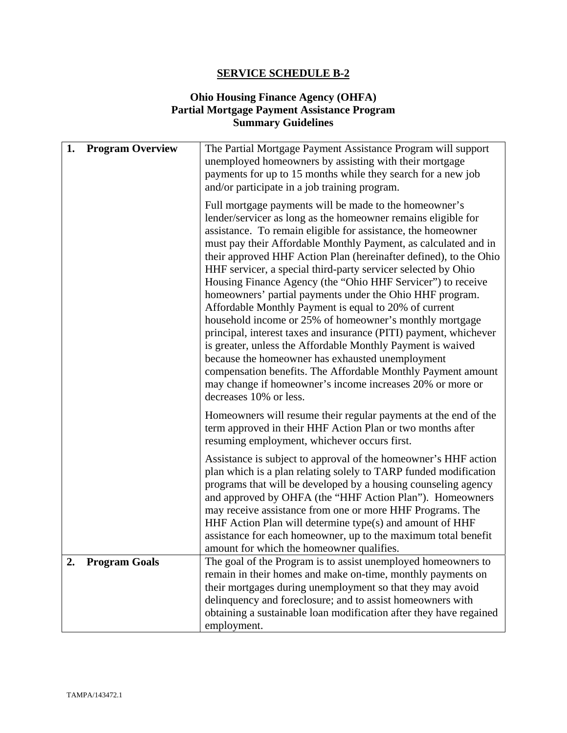## **Ohio Housing Finance Agency (OHFA) Partial Mortgage Payment Assistance Program Summary Guidelines**

| 1. | <b>Program Overview</b> | The Partial Mortgage Payment Assistance Program will support<br>unemployed homeowners by assisting with their mortgage<br>payments for up to 15 months while they search for a new job<br>and/or participate in a job training program.                                                                                                                                                                                                                                                                                                                                                                                                                                                                                                                                                                                                                                                                                                                                                        |
|----|-------------------------|------------------------------------------------------------------------------------------------------------------------------------------------------------------------------------------------------------------------------------------------------------------------------------------------------------------------------------------------------------------------------------------------------------------------------------------------------------------------------------------------------------------------------------------------------------------------------------------------------------------------------------------------------------------------------------------------------------------------------------------------------------------------------------------------------------------------------------------------------------------------------------------------------------------------------------------------------------------------------------------------|
|    |                         | Full mortgage payments will be made to the homeowner's<br>lender/servicer as long as the homeowner remains eligible for<br>assistance. To remain eligible for assistance, the homeowner<br>must pay their Affordable Monthly Payment, as calculated and in<br>their approved HHF Action Plan (hereinafter defined), to the Ohio<br>HHF servicer, a special third-party servicer selected by Ohio<br>Housing Finance Agency (the "Ohio HHF Servicer") to receive<br>homeowners' partial payments under the Ohio HHF program.<br>Affordable Monthly Payment is equal to 20% of current<br>household income or 25% of homeowner's monthly mortgage<br>principal, interest taxes and insurance (PITI) payment, whichever<br>is greater, unless the Affordable Monthly Payment is waived<br>because the homeowner has exhausted unemployment<br>compensation benefits. The Affordable Monthly Payment amount<br>may change if homeowner's income increases 20% or more or<br>decreases 10% or less. |
|    |                         | Homeowners will resume their regular payments at the end of the<br>term approved in their HHF Action Plan or two months after<br>resuming employment, whichever occurs first.                                                                                                                                                                                                                                                                                                                                                                                                                                                                                                                                                                                                                                                                                                                                                                                                                  |
|    |                         | Assistance is subject to approval of the homeowner's HHF action<br>plan which is a plan relating solely to TARP funded modification<br>programs that will be developed by a housing counseling agency<br>and approved by OHFA (the "HHF Action Plan"). Homeowners<br>may receive assistance from one or more HHF Programs. The<br>HHF Action Plan will determine type(s) and amount of HHF<br>assistance for each homeowner, up to the maximum total benefit<br>amount for which the homeowner qualifies.                                                                                                                                                                                                                                                                                                                                                                                                                                                                                      |
| 2. | <b>Program Goals</b>    | The goal of the Program is to assist unemployed homeowners to<br>remain in their homes and make on-time, monthly payments on<br>their mortgages during unemployment so that they may avoid<br>delinquency and foreclosure; and to assist homeowners with<br>obtaining a sustainable loan modification after they have regained<br>employment.                                                                                                                                                                                                                                                                                                                                                                                                                                                                                                                                                                                                                                                  |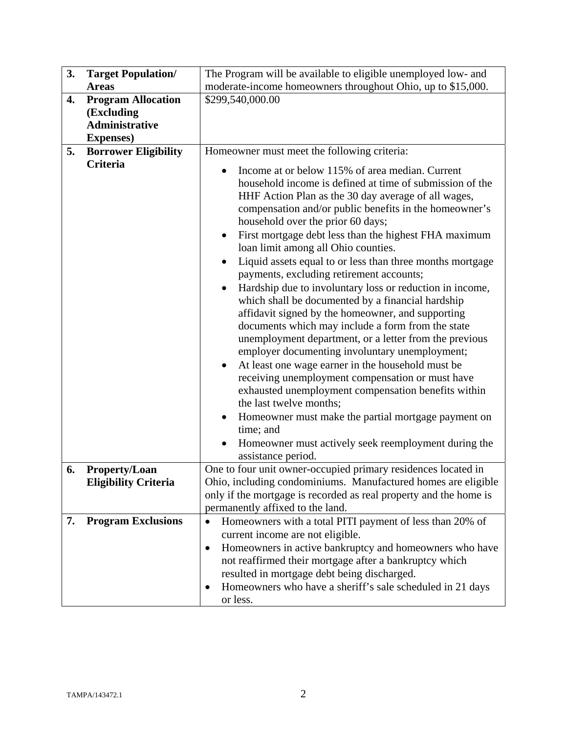| 3. | <b>Target Population/</b>                                                             | The Program will be available to eligible unemployed low- and                                                                                                                                                                                                                                                                                                                                                                                                                                                                                                                                                                                                                                                                                                                                                                                                                                                                                                                                                                                                                                                                                                                                                                   |
|----|---------------------------------------------------------------------------------------|---------------------------------------------------------------------------------------------------------------------------------------------------------------------------------------------------------------------------------------------------------------------------------------------------------------------------------------------------------------------------------------------------------------------------------------------------------------------------------------------------------------------------------------------------------------------------------------------------------------------------------------------------------------------------------------------------------------------------------------------------------------------------------------------------------------------------------------------------------------------------------------------------------------------------------------------------------------------------------------------------------------------------------------------------------------------------------------------------------------------------------------------------------------------------------------------------------------------------------|
|    | <b>Areas</b>                                                                          | moderate-income homeowners throughout Ohio, up to \$15,000.                                                                                                                                                                                                                                                                                                                                                                                                                                                                                                                                                                                                                                                                                                                                                                                                                                                                                                                                                                                                                                                                                                                                                                     |
| 4. | <b>Program Allocation</b><br>(Excluding<br><b>Administrative</b><br><b>Expenses</b> ) | \$299,540,000.00                                                                                                                                                                                                                                                                                                                                                                                                                                                                                                                                                                                                                                                                                                                                                                                                                                                                                                                                                                                                                                                                                                                                                                                                                |
| 5. | <b>Borrower Eligibility</b>                                                           | Homeowner must meet the following criteria:                                                                                                                                                                                                                                                                                                                                                                                                                                                                                                                                                                                                                                                                                                                                                                                                                                                                                                                                                                                                                                                                                                                                                                                     |
|    | Criteria                                                                              | Income at or below 115% of area median. Current<br>$\bullet$<br>household income is defined at time of submission of the<br>HHF Action Plan as the 30 day average of all wages,<br>compensation and/or public benefits in the homeowner's<br>household over the prior 60 days;<br>First mortgage debt less than the highest FHA maximum<br>$\bullet$<br>loan limit among all Ohio counties.<br>Liquid assets equal to or less than three months mortgage<br>$\bullet$<br>payments, excluding retirement accounts;<br>Hardship due to involuntary loss or reduction in income,<br>which shall be documented by a financial hardship<br>affidavit signed by the homeowner, and supporting<br>documents which may include a form from the state<br>unemployment department, or a letter from the previous<br>employer documenting involuntary unemployment;<br>At least one wage earner in the household must be<br>$\bullet$<br>receiving unemployment compensation or must have<br>exhausted unemployment compensation benefits within<br>the last twelve months;<br>Homeowner must make the partial mortgage payment on<br>$\bullet$<br>time; and<br>Homeowner must actively seek reemployment during the<br>assistance period. |
| 6. | <b>Property/Loan</b>                                                                  | One to four unit owner-occupied primary residences located in                                                                                                                                                                                                                                                                                                                                                                                                                                                                                                                                                                                                                                                                                                                                                                                                                                                                                                                                                                                                                                                                                                                                                                   |
|    | <b>Eligibility Criteria</b>                                                           | Ohio, including condominiums. Manufactured homes are eligible<br>only if the mortgage is recorded as real property and the home is<br>permanently affixed to the land.                                                                                                                                                                                                                                                                                                                                                                                                                                                                                                                                                                                                                                                                                                                                                                                                                                                                                                                                                                                                                                                          |
| 7. | <b>Program Exclusions</b>                                                             | Homeowners with a total PITI payment of less than 20% of<br>$\bullet$                                                                                                                                                                                                                                                                                                                                                                                                                                                                                                                                                                                                                                                                                                                                                                                                                                                                                                                                                                                                                                                                                                                                                           |
|    |                                                                                       | current income are not eligible.                                                                                                                                                                                                                                                                                                                                                                                                                                                                                                                                                                                                                                                                                                                                                                                                                                                                                                                                                                                                                                                                                                                                                                                                |
|    |                                                                                       | Homeowners in active bankruptcy and homeowners who have<br>$\bullet$<br>not reaffirmed their mortgage after a bankruptcy which<br>resulted in mortgage debt being discharged.<br>Homeowners who have a sheriff's sale scheduled in 21 days<br>٠                                                                                                                                                                                                                                                                                                                                                                                                                                                                                                                                                                                                                                                                                                                                                                                                                                                                                                                                                                                 |
|    |                                                                                       | or less.                                                                                                                                                                                                                                                                                                                                                                                                                                                                                                                                                                                                                                                                                                                                                                                                                                                                                                                                                                                                                                                                                                                                                                                                                        |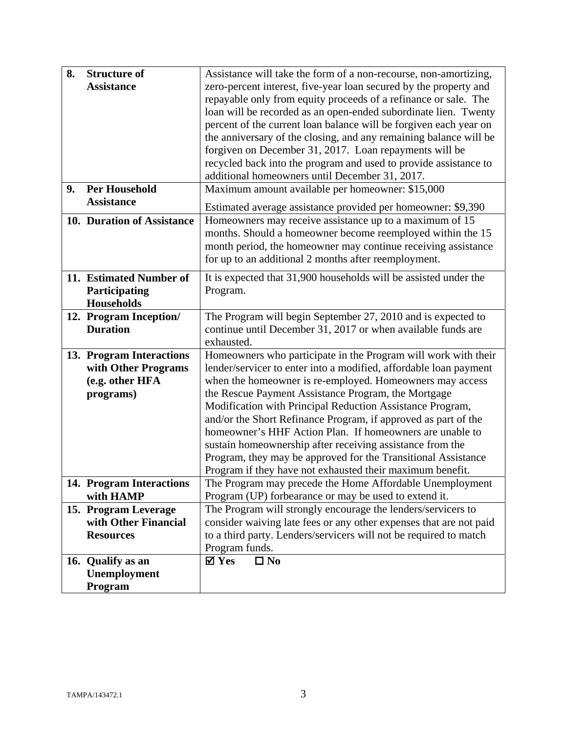| 8. | <b>Structure of</b>                          | Assistance will take the form of a non-recourse, non-amortizing,                    |
|----|----------------------------------------------|-------------------------------------------------------------------------------------|
|    | <b>Assistance</b>                            | zero-percent interest, five-year loan secured by the property and                   |
|    |                                              | repayable only from equity proceeds of a refinance or sale. The                     |
|    |                                              | loan will be recorded as an open-ended subordinate lien. Twenty                     |
|    |                                              | percent of the current loan balance will be forgiven each year on                   |
|    |                                              | the anniversary of the closing, and any remaining balance will be                   |
|    |                                              | forgiven on December 31, 2017. Loan repayments will be                              |
|    |                                              | recycled back into the program and used to provide assistance to                    |
|    |                                              | additional homeowners until December 31, 2017.                                      |
| 9. | <b>Per Household</b>                         | Maximum amount available per homeowner: \$15,000                                    |
|    | <b>Assistance</b>                            | Estimated average assistance provided per homeowner: \$9,390                        |
|    | 10. Duration of Assistance                   | Homeowners may receive assistance up to a maximum of 15                             |
|    |                                              | months. Should a homeowner become reemployed within the 15                          |
|    |                                              | month period, the homeowner may continue receiving assistance                       |
|    |                                              | for up to an additional 2 months after reemployment.                                |
|    | 11. Estimated Number of                      | It is expected that 31,900 households will be assisted under the                    |
|    | Participating                                | Program.                                                                            |
|    | <b>Households</b>                            |                                                                                     |
|    | 12. Program Inception/                       | The Program will begin September 27, 2010 and is expected to                        |
|    | <b>Duration</b>                              | continue until December 31, 2017 or when available funds are                        |
|    |                                              | exhausted.                                                                          |
|    | 13. Program Interactions                     | Homeowners who participate in the Program will work with their                      |
|    | with Other Programs                          | lender/servicer to enter into a modified, affordable loan payment                   |
|    | (e.g. other HFA                              | when the homeowner is re-employed. Homeowners may access                            |
|    | programs)                                    | the Rescue Payment Assistance Program, the Mortgage                                 |
|    |                                              | Modification with Principal Reduction Assistance Program,                           |
|    |                                              | and/or the Short Refinance Program, if approved as part of the                      |
|    |                                              | homeowner's HHF Action Plan. If homeowners are unable to                            |
|    |                                              | sustain homeownership after receiving assistance from the                           |
|    |                                              | Program, they may be approved for the Transitional Assistance                       |
|    |                                              | Program if they have not exhausted their maximum benefit.                           |
|    | 14. Program Interactions                     | The Program may precede the Home Affordable Unemployment                            |
|    | with HAMP                                    | Program (UP) forbearance or may be used to extend it.                               |
|    | 15. Program Leverage<br>with Other Financial | The Program will strongly encourage the lenders/servicers to                        |
|    |                                              | consider waiving late fees or any other expenses that are not paid                  |
|    | <b>Resources</b>                             | to a third party. Lenders/servicers will not be required to match<br>Program funds. |
|    | 16. Qualify as an                            | $\boxtimes$ Yes<br>$\Box$ No                                                        |
|    | Unemployment                                 |                                                                                     |
|    | Program                                      |                                                                                     |
|    |                                              |                                                                                     |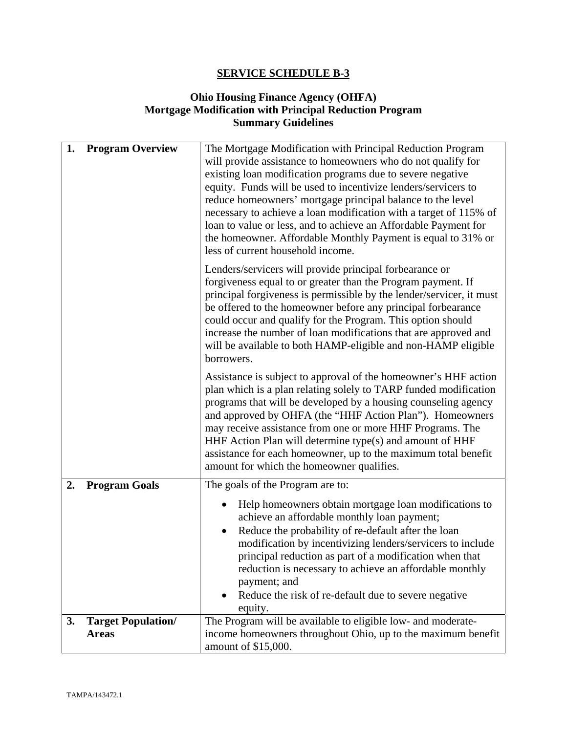## **Ohio Housing Finance Agency (OHFA) Mortgage Modification with Principal Reduction Program Summary Guidelines**

| 1.<br><b>Program Overview</b>                   | The Mortgage Modification with Principal Reduction Program<br>will provide assistance to homeowners who do not qualify for<br>existing loan modification programs due to severe negative<br>equity. Funds will be used to incentivize lenders/servicers to<br>reduce homeowners' mortgage principal balance to the level<br>necessary to achieve a loan modification with a target of 115% of<br>loan to value or less, and to achieve an Affordable Payment for<br>the homeowner. Affordable Monthly Payment is equal to 31% or<br>less of current household income. |
|-------------------------------------------------|-----------------------------------------------------------------------------------------------------------------------------------------------------------------------------------------------------------------------------------------------------------------------------------------------------------------------------------------------------------------------------------------------------------------------------------------------------------------------------------------------------------------------------------------------------------------------|
|                                                 | Lenders/servicers will provide principal forbearance or<br>forgiveness equal to or greater than the Program payment. If<br>principal forgiveness is permissible by the lender/servicer, it must<br>be offered to the homeowner before any principal forbearance<br>could occur and qualify for the Program. This option should<br>increase the number of loan modifications that are approved and<br>will be available to both HAMP-eligible and non-HAMP eligible<br>borrowers.                                                                                      |
|                                                 | Assistance is subject to approval of the homeowner's HHF action<br>plan which is a plan relating solely to TARP funded modification<br>programs that will be developed by a housing counseling agency<br>and approved by OHFA (the "HHF Action Plan"). Homeowners<br>may receive assistance from one or more HHF Programs. The<br>HHF Action Plan will determine type(s) and amount of HHF<br>assistance for each homeowner, up to the maximum total benefit<br>amount for which the homeowner qualifies.                                                             |
| <b>Program Goals</b><br>2.                      | The goals of the Program are to:                                                                                                                                                                                                                                                                                                                                                                                                                                                                                                                                      |
|                                                 | Help homeowners obtain mortgage loan modifications to<br>achieve an affordable monthly loan payment;<br>Reduce the probability of re-default after the loan<br>modification by incentivizing lenders/servicers to include<br>principal reduction as part of a modification when that<br>reduction is necessary to achieve an affordable monthly<br>payment; and<br>Reduce the risk of re-default due to severe negative<br>equity.                                                                                                                                    |
| <b>Target Population/</b><br>3.<br><b>Areas</b> | The Program will be available to eligible low- and moderate-<br>income homeowners throughout Ohio, up to the maximum benefit<br>amount of \$15,000.                                                                                                                                                                                                                                                                                                                                                                                                                   |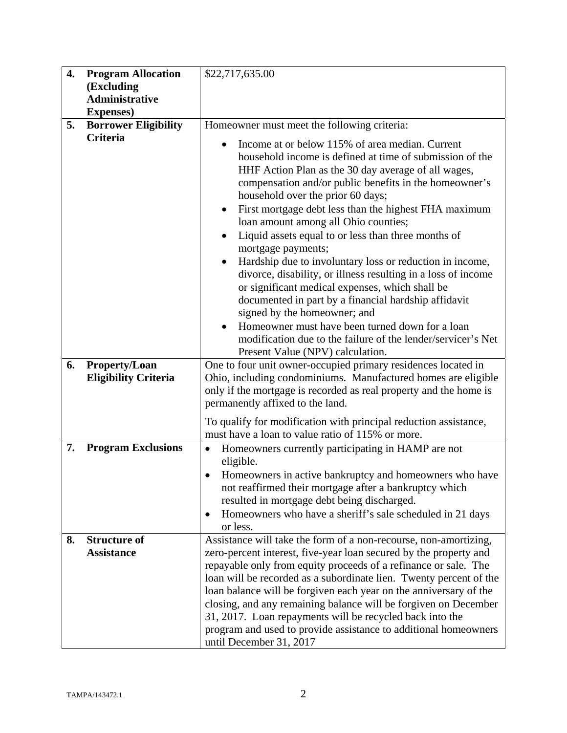| 4. | <b>Program Allocation</b>                           | \$22,717,635.00                                                                                                                                                                                                                                                                                                                                                                                                                                                                                                                                                                                                                                                                                                                                                                                                                                                                                          |
|----|-----------------------------------------------------|----------------------------------------------------------------------------------------------------------------------------------------------------------------------------------------------------------------------------------------------------------------------------------------------------------------------------------------------------------------------------------------------------------------------------------------------------------------------------------------------------------------------------------------------------------------------------------------------------------------------------------------------------------------------------------------------------------------------------------------------------------------------------------------------------------------------------------------------------------------------------------------------------------|
|    | (Excluding                                          |                                                                                                                                                                                                                                                                                                                                                                                                                                                                                                                                                                                                                                                                                                                                                                                                                                                                                                          |
|    | <b>Administrative</b>                               |                                                                                                                                                                                                                                                                                                                                                                                                                                                                                                                                                                                                                                                                                                                                                                                                                                                                                                          |
| 5. | <b>Expenses</b> )<br><b>Borrower Eligibility</b>    | Homeowner must meet the following criteria:                                                                                                                                                                                                                                                                                                                                                                                                                                                                                                                                                                                                                                                                                                                                                                                                                                                              |
|    | Criteria                                            |                                                                                                                                                                                                                                                                                                                                                                                                                                                                                                                                                                                                                                                                                                                                                                                                                                                                                                          |
|    |                                                     | Income at or below 115% of area median. Current<br>household income is defined at time of submission of the<br>HHF Action Plan as the 30 day average of all wages,<br>compensation and/or public benefits in the homeowner's<br>household over the prior 60 days;<br>First mortgage debt less than the highest FHA maximum<br>loan amount among all Ohio counties;<br>Liquid assets equal to or less than three months of<br>$\bullet$<br>mortgage payments;<br>Hardship due to involuntary loss or reduction in income,<br>$\bullet$<br>divorce, disability, or illness resulting in a loss of income<br>or significant medical expenses, which shall be<br>documented in part by a financial hardship affidavit<br>signed by the homeowner; and<br>Homeowner must have been turned down for a loan<br>modification due to the failure of the lender/servicer's Net<br>Present Value (NPV) calculation. |
| 6. | <b>Property/Loan</b><br><b>Eligibility Criteria</b> | One to four unit owner-occupied primary residences located in<br>Ohio, including condominiums. Manufactured homes are eligible<br>only if the mortgage is recorded as real property and the home is<br>permanently affixed to the land.                                                                                                                                                                                                                                                                                                                                                                                                                                                                                                                                                                                                                                                                  |
|    |                                                     | To qualify for modification with principal reduction assistance,<br>must have a loan to value ratio of 115% or more.                                                                                                                                                                                                                                                                                                                                                                                                                                                                                                                                                                                                                                                                                                                                                                                     |
| 7. | <b>Program Exclusions</b>                           | Homeowners currently participating in HAMP are not<br>$\bullet$<br>eligible.<br>Homeowners in active bankruptcy and homeowners who have<br>not reaffirmed their mortgage after a bankruptcy which<br>resulted in mortgage debt being discharged.<br>Homeowners who have a sheriff's sale scheduled in 21 days<br>٠<br>or less.                                                                                                                                                                                                                                                                                                                                                                                                                                                                                                                                                                           |
| 8. | <b>Structure of</b><br><b>Assistance</b>            | Assistance will take the form of a non-recourse, non-amortizing,<br>zero-percent interest, five-year loan secured by the property and<br>repayable only from equity proceeds of a refinance or sale. The<br>loan will be recorded as a subordinate lien. Twenty percent of the<br>loan balance will be forgiven each year on the anniversary of the<br>closing, and any remaining balance will be forgiven on December<br>31, 2017. Loan repayments will be recycled back into the<br>program and used to provide assistance to additional homeowners<br>until December 31, 2017                                                                                                                                                                                                                                                                                                                         |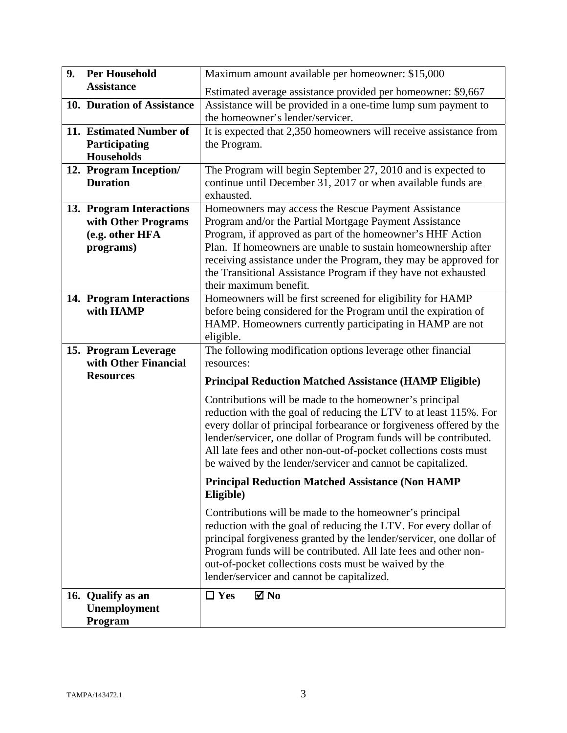| 9. | <b>Per Household</b>                         | Maximum amount available per homeowner: \$15,000                                                                                                                                                                                                                                                                                                                                                            |  |
|----|----------------------------------------------|-------------------------------------------------------------------------------------------------------------------------------------------------------------------------------------------------------------------------------------------------------------------------------------------------------------------------------------------------------------------------------------------------------------|--|
|    | <b>Assistance</b>                            | Estimated average assistance provided per homeowner: \$9,667                                                                                                                                                                                                                                                                                                                                                |  |
|    | 10. Duration of Assistance                   | Assistance will be provided in a one-time lump sum payment to<br>the homeowner's lender/servicer.                                                                                                                                                                                                                                                                                                           |  |
|    | 11. Estimated Number of                      | It is expected that 2,350 homeowners will receive assistance from                                                                                                                                                                                                                                                                                                                                           |  |
|    | Participating                                | the Program.                                                                                                                                                                                                                                                                                                                                                                                                |  |
|    | <b>Households</b>                            |                                                                                                                                                                                                                                                                                                                                                                                                             |  |
|    | 12. Program Inception/<br><b>Duration</b>    | The Program will begin September 27, 2010 and is expected to<br>continue until December 31, 2017 or when available funds are<br>exhausted.                                                                                                                                                                                                                                                                  |  |
|    | 13. Program Interactions                     | Homeowners may access the Rescue Payment Assistance                                                                                                                                                                                                                                                                                                                                                         |  |
|    | with Other Programs                          | Program and/or the Partial Mortgage Payment Assistance                                                                                                                                                                                                                                                                                                                                                      |  |
|    | (e.g. other HFA                              | Program, if approved as part of the homeowner's HHF Action                                                                                                                                                                                                                                                                                                                                                  |  |
|    | programs)                                    | Plan. If homeowners are unable to sustain homeownership after                                                                                                                                                                                                                                                                                                                                               |  |
|    |                                              | receiving assistance under the Program, they may be approved for                                                                                                                                                                                                                                                                                                                                            |  |
|    |                                              | the Transitional Assistance Program if they have not exhausted<br>their maximum benefit.                                                                                                                                                                                                                                                                                                                    |  |
|    | 14. Program Interactions                     | Homeowners will be first screened for eligibility for HAMP                                                                                                                                                                                                                                                                                                                                                  |  |
|    | with HAMP                                    | before being considered for the Program until the expiration of                                                                                                                                                                                                                                                                                                                                             |  |
|    |                                              | HAMP. Homeowners currently participating in HAMP are not                                                                                                                                                                                                                                                                                                                                                    |  |
|    |                                              | eligible.                                                                                                                                                                                                                                                                                                                                                                                                   |  |
|    | 15. Program Leverage<br>with Other Financial | The following modification options leverage other financial<br>resources:                                                                                                                                                                                                                                                                                                                                   |  |
|    | <b>Resources</b>                             | <b>Principal Reduction Matched Assistance (HAMP Eligible)</b>                                                                                                                                                                                                                                                                                                                                               |  |
|    |                                              | Contributions will be made to the homeowner's principal<br>reduction with the goal of reducing the LTV to at least 115%. For<br>every dollar of principal forbearance or forgiveness offered by the<br>lender/servicer, one dollar of Program funds will be contributed.<br>All late fees and other non-out-of-pocket collections costs must<br>be waived by the lender/servicer and cannot be capitalized. |  |
|    |                                              | <b>Principal Reduction Matched Assistance (Non HAMP</b><br>Eligible)                                                                                                                                                                                                                                                                                                                                        |  |
|    |                                              | Contributions will be made to the homeowner's principal<br>reduction with the goal of reducing the LTV. For every dollar of<br>principal forgiveness granted by the lender/servicer, one dollar of<br>Program funds will be contributed. All late fees and other non-<br>out-of-pocket collections costs must be waived by the<br>lender/servicer and cannot be capitalized.                                |  |
|    | 16. Qualify as an                            | $\boxtimes$ No<br>$\Box$ Yes                                                                                                                                                                                                                                                                                                                                                                                |  |
|    | Unemployment                                 |                                                                                                                                                                                                                                                                                                                                                                                                             |  |
|    | Program                                      |                                                                                                                                                                                                                                                                                                                                                                                                             |  |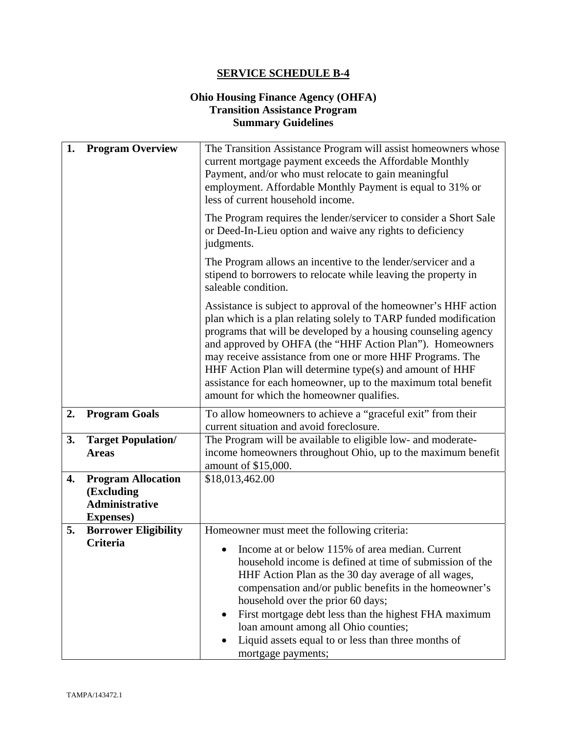## **Ohio Housing Finance Agency (OHFA) Transition Assistance Program Summary Guidelines**

| 1. | <b>Program Overview</b>                                  | The Transition Assistance Program will assist homeowners whose<br>current mortgage payment exceeds the Affordable Monthly                                                                                                                                                                                                                                                                                                                                                                                 |  |
|----|----------------------------------------------------------|-----------------------------------------------------------------------------------------------------------------------------------------------------------------------------------------------------------------------------------------------------------------------------------------------------------------------------------------------------------------------------------------------------------------------------------------------------------------------------------------------------------|--|
|    |                                                          | Payment, and/or who must relocate to gain meaningful<br>employment. Affordable Monthly Payment is equal to 31% or<br>less of current household income.                                                                                                                                                                                                                                                                                                                                                    |  |
|    |                                                          | The Program requires the lender/servicer to consider a Short Sale<br>or Deed-In-Lieu option and waive any rights to deficiency<br>judgments.                                                                                                                                                                                                                                                                                                                                                              |  |
|    |                                                          | The Program allows an incentive to the lender/servicer and a<br>stipend to borrowers to relocate while leaving the property in<br>saleable condition.                                                                                                                                                                                                                                                                                                                                                     |  |
|    |                                                          | Assistance is subject to approval of the homeowner's HHF action<br>plan which is a plan relating solely to TARP funded modification<br>programs that will be developed by a housing counseling agency<br>and approved by OHFA (the "HHF Action Plan"). Homeowners<br>may receive assistance from one or more HHF Programs. The<br>HHF Action Plan will determine type(s) and amount of HHF<br>assistance for each homeowner, up to the maximum total benefit<br>amount for which the homeowner qualifies. |  |
| 2. | <b>Program Goals</b>                                     | To allow homeowners to achieve a "graceful exit" from their<br>current situation and avoid foreclosure.                                                                                                                                                                                                                                                                                                                                                                                                   |  |
| 3. | <b>Target Population/</b>                                | The Program will be available to eligible low- and moderate-                                                                                                                                                                                                                                                                                                                                                                                                                                              |  |
|    | <b>Areas</b>                                             | income homeowners throughout Ohio, up to the maximum benefit<br>amount of \$15,000.                                                                                                                                                                                                                                                                                                                                                                                                                       |  |
| 4. | <b>Program Allocation</b>                                | \$18,013,462.00                                                                                                                                                                                                                                                                                                                                                                                                                                                                                           |  |
|    | (Excluding<br><b>Administrative</b><br><b>Expenses</b> ) |                                                                                                                                                                                                                                                                                                                                                                                                                                                                                                           |  |
| 5. | <b>Borrower Eligibility</b>                              | Homeowner must meet the following criteria:                                                                                                                                                                                                                                                                                                                                                                                                                                                               |  |
|    | <b>Criteria</b>                                          | Income at or below 115% of area median. Current<br>household income is defined at time of submission of the<br>HHF Action Plan as the 30 day average of all wages,<br>compensation and/or public benefits in the homeowner's<br>household over the prior 60 days;<br>First mortgage debt less than the highest FHA maximum<br>$\bullet$<br>loan amount among all Ohio counties;<br>Liquid assets equal to or less than three months of<br>mortgage payments;                                              |  |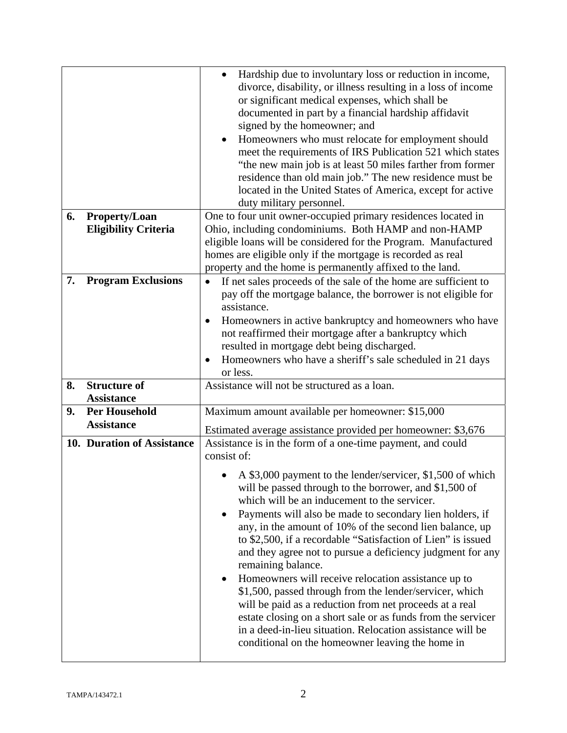|    |                             | Hardship due to involuntary loss or reduction in income,<br>divorce, disability, or illness resulting in a loss of income<br>or significant medical expenses, which shall be<br>documented in part by a financial hardship affidavit<br>signed by the homeowner; and<br>Homeowners who must relocate for employment should<br>$\bullet$<br>meet the requirements of IRS Publication 521 which states<br>"the new main job is at least 50 miles farther from former<br>residence than old main job." The new residence must be<br>located in the United States of America, except for active<br>duty military personnel.                                                                                                                                                                                                      |  |
|----|-----------------------------|------------------------------------------------------------------------------------------------------------------------------------------------------------------------------------------------------------------------------------------------------------------------------------------------------------------------------------------------------------------------------------------------------------------------------------------------------------------------------------------------------------------------------------------------------------------------------------------------------------------------------------------------------------------------------------------------------------------------------------------------------------------------------------------------------------------------------|--|
| 6. | Property/Loan               | One to four unit owner-occupied primary residences located in                                                                                                                                                                                                                                                                                                                                                                                                                                                                                                                                                                                                                                                                                                                                                                |  |
|    | <b>Eligibility Criteria</b> | Ohio, including condominiums. Both HAMP and non-HAMP                                                                                                                                                                                                                                                                                                                                                                                                                                                                                                                                                                                                                                                                                                                                                                         |  |
|    |                             | eligible loans will be considered for the Program. Manufactured                                                                                                                                                                                                                                                                                                                                                                                                                                                                                                                                                                                                                                                                                                                                                              |  |
|    |                             | homes are eligible only if the mortgage is recorded as real<br>property and the home is permanently affixed to the land.                                                                                                                                                                                                                                                                                                                                                                                                                                                                                                                                                                                                                                                                                                     |  |
| 7. | <b>Program Exclusions</b>   | If net sales proceeds of the sale of the home are sufficient to<br>$\bullet$                                                                                                                                                                                                                                                                                                                                                                                                                                                                                                                                                                                                                                                                                                                                                 |  |
|    |                             | pay off the mortgage balance, the borrower is not eligible for                                                                                                                                                                                                                                                                                                                                                                                                                                                                                                                                                                                                                                                                                                                                                               |  |
|    |                             | assistance.                                                                                                                                                                                                                                                                                                                                                                                                                                                                                                                                                                                                                                                                                                                                                                                                                  |  |
|    |                             | Homeowners in active bankruptcy and homeowners who have                                                                                                                                                                                                                                                                                                                                                                                                                                                                                                                                                                                                                                                                                                                                                                      |  |
|    |                             | not reaffirmed their mortgage after a bankruptcy which                                                                                                                                                                                                                                                                                                                                                                                                                                                                                                                                                                                                                                                                                                                                                                       |  |
|    |                             | resulted in mortgage debt being discharged.                                                                                                                                                                                                                                                                                                                                                                                                                                                                                                                                                                                                                                                                                                                                                                                  |  |
|    |                             | Homeowners who have a sheriff's sale scheduled in 21 days<br>or less.                                                                                                                                                                                                                                                                                                                                                                                                                                                                                                                                                                                                                                                                                                                                                        |  |
| 8. | <b>Structure of</b>         | Assistance will not be structured as a loan.                                                                                                                                                                                                                                                                                                                                                                                                                                                                                                                                                                                                                                                                                                                                                                                 |  |
|    | <b>Assistance</b>           |                                                                                                                                                                                                                                                                                                                                                                                                                                                                                                                                                                                                                                                                                                                                                                                                                              |  |
| 9. | <b>Per Household</b>        | Maximum amount available per homeowner: \$15,000                                                                                                                                                                                                                                                                                                                                                                                                                                                                                                                                                                                                                                                                                                                                                                             |  |
|    | <b>Assistance</b>           | Estimated average assistance provided per homeowner: \$3,676                                                                                                                                                                                                                                                                                                                                                                                                                                                                                                                                                                                                                                                                                                                                                                 |  |
|    | 10. Duration of Assistance  | Assistance is in the form of a one-time payment, and could                                                                                                                                                                                                                                                                                                                                                                                                                                                                                                                                                                                                                                                                                                                                                                   |  |
|    |                             | consist of:                                                                                                                                                                                                                                                                                                                                                                                                                                                                                                                                                                                                                                                                                                                                                                                                                  |  |
|    |                             | A \$3,000 payment to the lender/servicer, \$1,500 of which<br>will be passed through to the borrower, and \$1,500 of<br>which will be an inducement to the servicer.<br>Payments will also be made to secondary lien holders, if<br>any, in the amount of 10% of the second lien balance, up<br>to \$2,500, if a recordable "Satisfaction of Lien" is issued<br>and they agree not to pursue a deficiency judgment for any<br>remaining balance.<br>Homeowners will receive relocation assistance up to<br>$\bullet$<br>\$1,500, passed through from the lender/servicer, which<br>will be paid as a reduction from net proceeds at a real<br>estate closing on a short sale or as funds from the servicer<br>in a deed-in-lieu situation. Relocation assistance will be<br>conditional on the homeowner leaving the home in |  |
|    |                             |                                                                                                                                                                                                                                                                                                                                                                                                                                                                                                                                                                                                                                                                                                                                                                                                                              |  |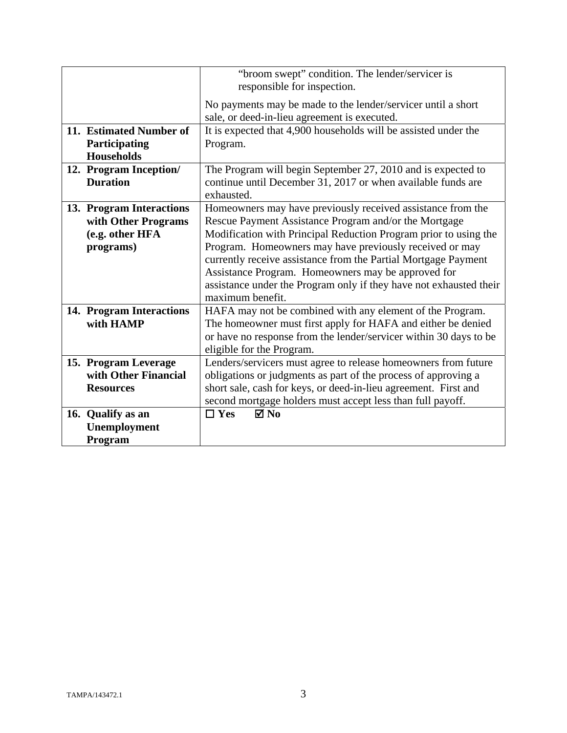|                                                                                 | "broom swept" condition. The lender/servicer is<br>responsible for inspection.                                                                                                                                                                                                                                                                                                                                                                    |  |
|---------------------------------------------------------------------------------|---------------------------------------------------------------------------------------------------------------------------------------------------------------------------------------------------------------------------------------------------------------------------------------------------------------------------------------------------------------------------------------------------------------------------------------------------|--|
|                                                                                 | No payments may be made to the lender/servicer until a short<br>sale, or deed-in-lieu agreement is executed.                                                                                                                                                                                                                                                                                                                                      |  |
| 11. Estimated Number of<br>Participating<br><b>Households</b>                   | It is expected that 4,900 households will be assisted under the<br>Program.                                                                                                                                                                                                                                                                                                                                                                       |  |
| 12. Program Inception/<br><b>Duration</b>                                       | The Program will begin September 27, 2010 and is expected to<br>continue until December 31, 2017 or when available funds are<br>exhausted.                                                                                                                                                                                                                                                                                                        |  |
| 13. Program Interactions<br>with Other Programs<br>(e.g. other HFA<br>programs) | Homeowners may have previously received assistance from the<br>Rescue Payment Assistance Program and/or the Mortgage<br>Modification with Principal Reduction Program prior to using the<br>Program. Homeowners may have previously received or may<br>currently receive assistance from the Partial Mortgage Payment<br>Assistance Program. Homeowners may be approved for<br>assistance under the Program only if they have not exhausted their |  |
| 14. Program Interactions<br>with HAMP                                           | maximum benefit.<br>HAFA may not be combined with any element of the Program.<br>The homeowner must first apply for HAFA and either be denied<br>or have no response from the lender/servicer within 30 days to be<br>eligible for the Program.                                                                                                                                                                                                   |  |
| 15. Program Leverage<br>with Other Financial<br><b>Resources</b>                | Lenders/servicers must agree to release homeowners from future<br>obligations or judgments as part of the process of approving a<br>short sale, cash for keys, or deed-in-lieu agreement. First and<br>second mortgage holders must accept less than full payoff.                                                                                                                                                                                 |  |
| 16. Qualify as an<br><b>Unemployment</b><br>Program                             | $\boxtimes$ No<br>$\Box$ Yes                                                                                                                                                                                                                                                                                                                                                                                                                      |  |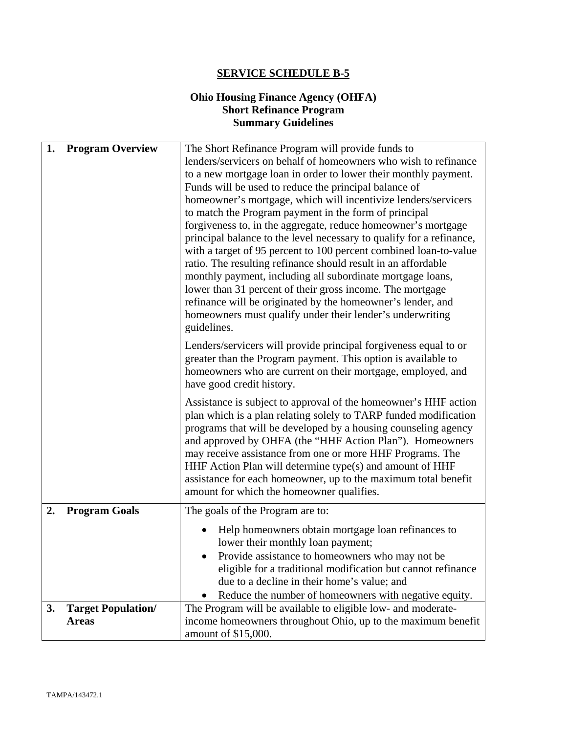#### **Ohio Housing Finance Agency (OHFA) Short Refinance Program Summary Guidelines**

| 1. | <b>Program Overview</b>   | The Short Refinance Program will provide funds to                                                                                     |  |
|----|---------------------------|---------------------------------------------------------------------------------------------------------------------------------------|--|
|    |                           | lenders/servicers on behalf of homeowners who wish to refinance                                                                       |  |
|    |                           | to a new mortgage loan in order to lower their monthly payment.                                                                       |  |
|    |                           | Funds will be used to reduce the principal balance of                                                                                 |  |
|    |                           | homeowner's mortgage, which will incentivize lenders/servicers                                                                        |  |
|    |                           | to match the Program payment in the form of principal                                                                                 |  |
|    |                           | forgiveness to, in the aggregate, reduce homeowner's mortgage<br>principal balance to the level necessary to qualify for a refinance, |  |
|    |                           | with a target of 95 percent to 100 percent combined loan-to-value                                                                     |  |
|    |                           | ratio. The resulting refinance should result in an affordable                                                                         |  |
|    |                           | monthly payment, including all subordinate mortgage loans,                                                                            |  |
|    |                           | lower than 31 percent of their gross income. The mortgage                                                                             |  |
|    |                           | refinance will be originated by the homeowner's lender, and                                                                           |  |
|    |                           | homeowners must qualify under their lender's underwriting                                                                             |  |
|    |                           | guidelines.                                                                                                                           |  |
|    |                           | Lenders/servicers will provide principal forgiveness equal to or                                                                      |  |
|    |                           | greater than the Program payment. This option is available to                                                                         |  |
|    |                           | homeowners who are current on their mortgage, employed, and                                                                           |  |
|    |                           | have good credit history.                                                                                                             |  |
|    |                           | Assistance is subject to approval of the homeowner's HHF action                                                                       |  |
|    |                           | plan which is a plan relating solely to TARP funded modification                                                                      |  |
|    |                           | programs that will be developed by a housing counseling agency                                                                        |  |
|    |                           | and approved by OHFA (the "HHF Action Plan"). Homeowners                                                                              |  |
|    |                           | may receive assistance from one or more HHF Programs. The                                                                             |  |
|    |                           | HHF Action Plan will determine type(s) and amount of HHF<br>assistance for each homeowner, up to the maximum total benefit            |  |
|    |                           | amount for which the homeowner qualifies.                                                                                             |  |
|    |                           |                                                                                                                                       |  |
| 2. | <b>Program Goals</b>      | The goals of the Program are to:                                                                                                      |  |
|    |                           | Help homeowners obtain mortgage loan refinances to                                                                                    |  |
|    |                           | lower their monthly loan payment;                                                                                                     |  |
|    |                           | Provide assistance to homeowners who may not be                                                                                       |  |
|    |                           | eligible for a traditional modification but cannot refinance                                                                          |  |
|    |                           | due to a decline in their home's value; and                                                                                           |  |
| 3. | <b>Target Population/</b> | Reduce the number of homeowners with negative equity.<br>The Program will be available to eligible low- and moderate-                 |  |
|    | <b>Areas</b>              | income homeowners throughout Ohio, up to the maximum benefit                                                                          |  |
|    |                           | amount of \$15,000.                                                                                                                   |  |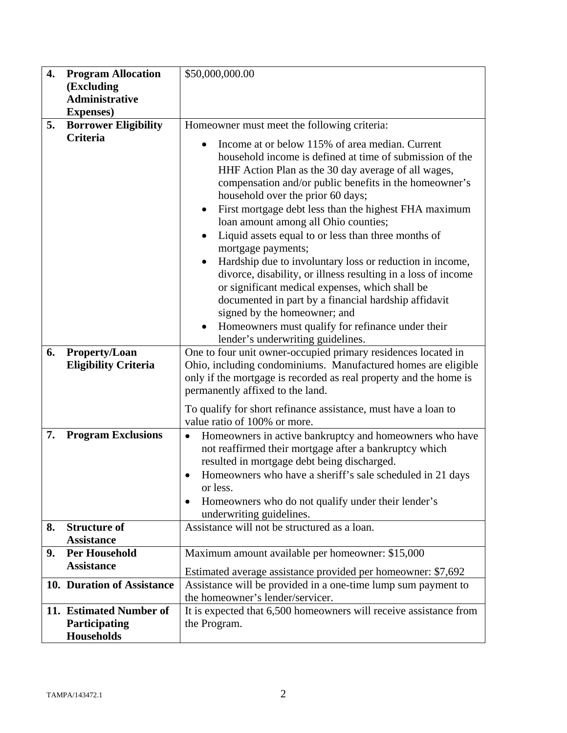| 4. | <b>Program Allocation</b>                                     | \$50,000,000.00                                                                                                                                                                                                                                                                                                                                                                                                                                                                                                                                                                                                                                                                                                                                                                                                                             |  |
|----|---------------------------------------------------------------|---------------------------------------------------------------------------------------------------------------------------------------------------------------------------------------------------------------------------------------------------------------------------------------------------------------------------------------------------------------------------------------------------------------------------------------------------------------------------------------------------------------------------------------------------------------------------------------------------------------------------------------------------------------------------------------------------------------------------------------------------------------------------------------------------------------------------------------------|--|
|    | (Excluding                                                    |                                                                                                                                                                                                                                                                                                                                                                                                                                                                                                                                                                                                                                                                                                                                                                                                                                             |  |
|    | <b>Administrative</b>                                         |                                                                                                                                                                                                                                                                                                                                                                                                                                                                                                                                                                                                                                                                                                                                                                                                                                             |  |
| 5. | <b>Expenses</b> )                                             |                                                                                                                                                                                                                                                                                                                                                                                                                                                                                                                                                                                                                                                                                                                                                                                                                                             |  |
|    | <b>Borrower Eligibility</b><br>Criteria                       | Homeowner must meet the following criteria:                                                                                                                                                                                                                                                                                                                                                                                                                                                                                                                                                                                                                                                                                                                                                                                                 |  |
|    |                                                               | Income at or below 115% of area median. Current<br>household income is defined at time of submission of the<br>HHF Action Plan as the 30 day average of all wages,<br>compensation and/or public benefits in the homeowner's<br>household over the prior 60 days;<br>First mortgage debt less than the highest FHA maximum<br>loan amount among all Ohio counties;<br>Liquid assets equal to or less than three months of<br>$\bullet$<br>mortgage payments;<br>Hardship due to involuntary loss or reduction in income,<br>$\bullet$<br>divorce, disability, or illness resulting in a loss of income<br>or significant medical expenses, which shall be<br>documented in part by a financial hardship affidavit<br>signed by the homeowner; and<br>Homeowners must qualify for refinance under their<br>lender's underwriting guidelines. |  |
| 6. | Property/Loan                                                 | One to four unit owner-occupied primary residences located in                                                                                                                                                                                                                                                                                                                                                                                                                                                                                                                                                                                                                                                                                                                                                                               |  |
|    | <b>Eligibility Criteria</b>                                   | Ohio, including condominiums. Manufactured homes are eligible<br>only if the mortgage is recorded as real property and the home is<br>permanently affixed to the land.<br>To qualify for short refinance assistance, must have a loan to<br>value ratio of 100% or more.                                                                                                                                                                                                                                                                                                                                                                                                                                                                                                                                                                    |  |
| 7. | <b>Program Exclusions</b>                                     | Homeowners in active bankruptcy and homeowners who have<br>$\bullet$                                                                                                                                                                                                                                                                                                                                                                                                                                                                                                                                                                                                                                                                                                                                                                        |  |
|    |                                                               | not reaffirmed their mortgage after a bankruptcy which                                                                                                                                                                                                                                                                                                                                                                                                                                                                                                                                                                                                                                                                                                                                                                                      |  |
|    |                                                               | resulted in mortgage debt being discharged.                                                                                                                                                                                                                                                                                                                                                                                                                                                                                                                                                                                                                                                                                                                                                                                                 |  |
|    |                                                               | Homeowners who have a sheriff's sale scheduled in 21 days<br>$\bullet$                                                                                                                                                                                                                                                                                                                                                                                                                                                                                                                                                                                                                                                                                                                                                                      |  |
|    |                                                               | or less.<br>Homeowners who do not qualify under their lender's<br>$\bullet$                                                                                                                                                                                                                                                                                                                                                                                                                                                                                                                                                                                                                                                                                                                                                                 |  |
|    |                                                               | underwriting guidelines.                                                                                                                                                                                                                                                                                                                                                                                                                                                                                                                                                                                                                                                                                                                                                                                                                    |  |
| 8. | <b>Structure of</b>                                           | Assistance will not be structured as a loan.                                                                                                                                                                                                                                                                                                                                                                                                                                                                                                                                                                                                                                                                                                                                                                                                |  |
|    | <b>Assistance</b>                                             |                                                                                                                                                                                                                                                                                                                                                                                                                                                                                                                                                                                                                                                                                                                                                                                                                                             |  |
| 9. | <b>Per Household</b>                                          | Maximum amount available per homeowner: \$15,000                                                                                                                                                                                                                                                                                                                                                                                                                                                                                                                                                                                                                                                                                                                                                                                            |  |
|    | <b>Assistance</b>                                             | Estimated average assistance provided per homeowner: \$7,692                                                                                                                                                                                                                                                                                                                                                                                                                                                                                                                                                                                                                                                                                                                                                                                |  |
|    | 10. Duration of Assistance                                    | Assistance will be provided in a one-time lump sum payment to                                                                                                                                                                                                                                                                                                                                                                                                                                                                                                                                                                                                                                                                                                                                                                               |  |
|    |                                                               | the homeowner's lender/servicer.                                                                                                                                                                                                                                                                                                                                                                                                                                                                                                                                                                                                                                                                                                                                                                                                            |  |
|    | 11. Estimated Number of<br>Participating<br><b>Households</b> | It is expected that 6,500 homeowners will receive assistance from<br>the Program.                                                                                                                                                                                                                                                                                                                                                                                                                                                                                                                                                                                                                                                                                                                                                           |  |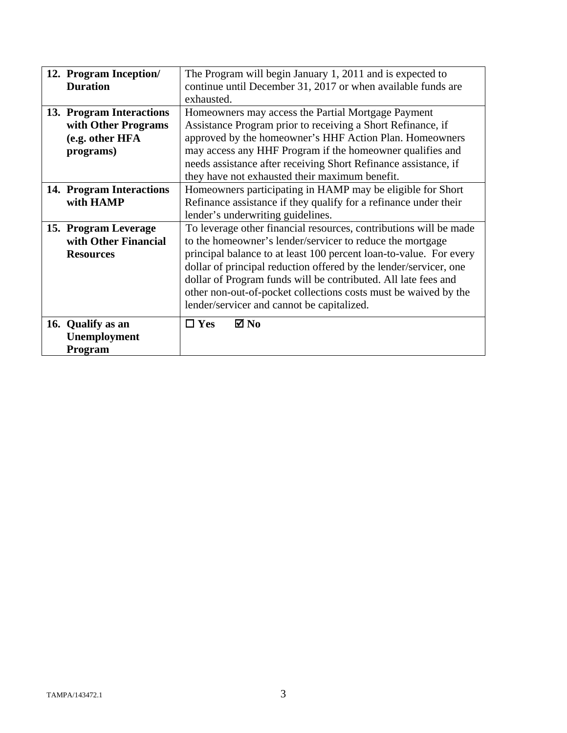|                   | 12. Program Inception/   | The Program will begin January 1, 2011 and is expected to                                                                                                                                                                                                                    |  |  |
|-------------------|--------------------------|------------------------------------------------------------------------------------------------------------------------------------------------------------------------------------------------------------------------------------------------------------------------------|--|--|
| <b>Duration</b>   |                          | continue until December 31, 2017 or when available funds are                                                                                                                                                                                                                 |  |  |
|                   |                          | exhausted.                                                                                                                                                                                                                                                                   |  |  |
|                   | 13. Program Interactions | Homeowners may access the Partial Mortgage Payment                                                                                                                                                                                                                           |  |  |
|                   | with Other Programs      | Assistance Program prior to receiving a Short Refinance, if                                                                                                                                                                                                                  |  |  |
|                   | (e.g. other HFA          | approved by the homeowner's HHF Action Plan. Homeowners                                                                                                                                                                                                                      |  |  |
|                   | programs)                | may access any HHF Program if the homeowner qualifies and                                                                                                                                                                                                                    |  |  |
|                   |                          | needs assistance after receiving Short Refinance assistance, if                                                                                                                                                                                                              |  |  |
|                   |                          | they have not exhausted their maximum benefit.                                                                                                                                                                                                                               |  |  |
|                   | 14. Program Interactions | Homeowners participating in HAMP may be eligible for Short                                                                                                                                                                                                                   |  |  |
|                   | with HAMP                | Refinance assistance if they qualify for a refinance under their<br>lender's underwriting guidelines.                                                                                                                                                                        |  |  |
|                   |                          |                                                                                                                                                                                                                                                                              |  |  |
|                   | 15. Program Leverage     | To leverage other financial resources, contributions will be made                                                                                                                                                                                                            |  |  |
|                   | with Other Financial     | to the homeowner's lender/servicer to reduce the mortgage                                                                                                                                                                                                                    |  |  |
|                   | <b>Resources</b>         | principal balance to at least 100 percent loan-to-value. For every<br>dollar of principal reduction offered by the lender/servicer, one<br>dollar of Program funds will be contributed. All late fees and<br>other non-out-of-pocket collections costs must be waived by the |  |  |
|                   |                          |                                                                                                                                                                                                                                                                              |  |  |
|                   |                          |                                                                                                                                                                                                                                                                              |  |  |
|                   |                          |                                                                                                                                                                                                                                                                              |  |  |
|                   |                          | lender/servicer and cannot be capitalized.                                                                                                                                                                                                                                   |  |  |
| 16. Qualify as an |                          | $\boxtimes$ No<br>$\Box$ Yes                                                                                                                                                                                                                                                 |  |  |
|                   | Unemployment             |                                                                                                                                                                                                                                                                              |  |  |
|                   |                          |                                                                                                                                                                                                                                                                              |  |  |
| Program           |                          |                                                                                                                                                                                                                                                                              |  |  |